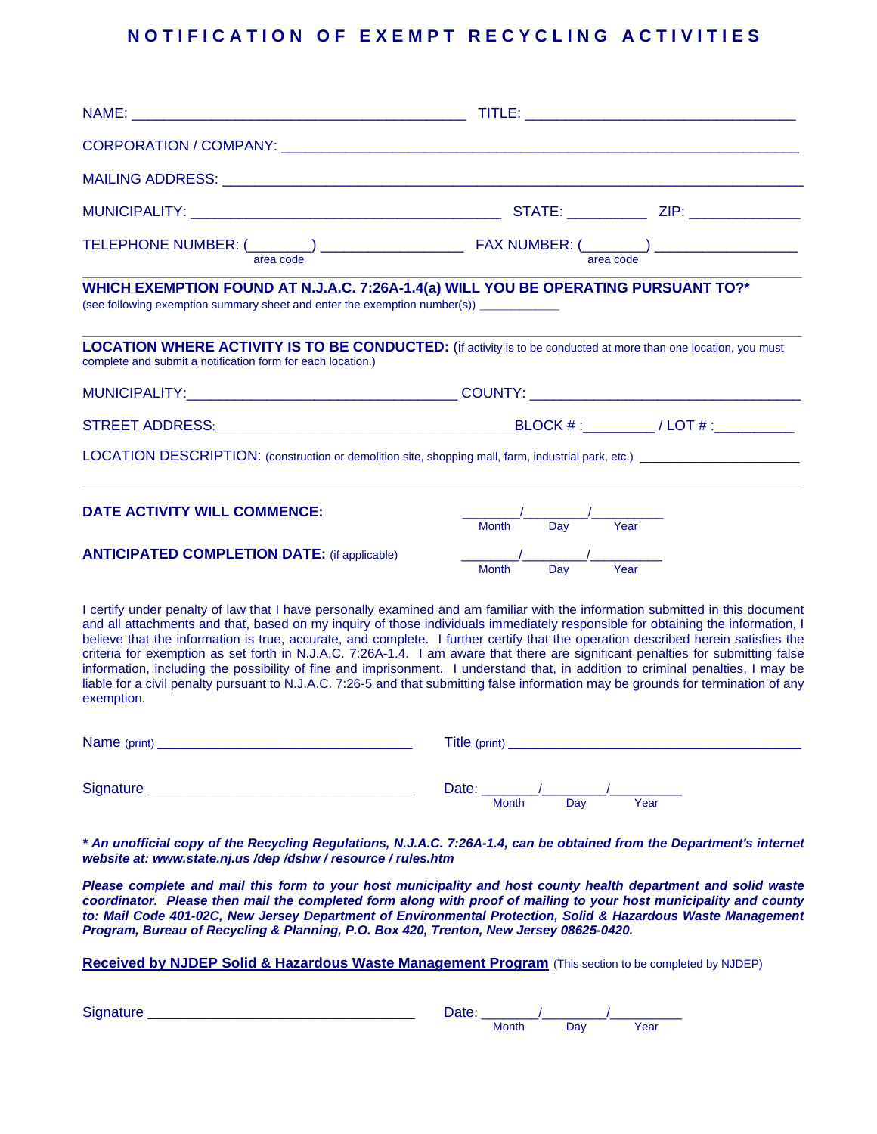## **NOTIFICATION OF EXEMPT RECYCLING ACTIVITIES**

| WHICH EXEMPTION FOUND AT N.J.A.C. 7:26A-1.4(a) WILL YOU BE OPERATING PURSUANT TO?*<br>(see following exemption summary sheet and enter the exemption number(s)) ___________                                                                                                                                                                                                                                                                                                                                                                                                                                                                                                                                                                                                                                                      |                             |  |  |
|----------------------------------------------------------------------------------------------------------------------------------------------------------------------------------------------------------------------------------------------------------------------------------------------------------------------------------------------------------------------------------------------------------------------------------------------------------------------------------------------------------------------------------------------------------------------------------------------------------------------------------------------------------------------------------------------------------------------------------------------------------------------------------------------------------------------------------|-----------------------------|--|--|
| <b>LOCATION WHERE ACTIVITY IS TO BE CONDUCTED:</b> (if activity is to be conducted at more than one location, you must<br>complete and submit a notification form for each location.)                                                                                                                                                                                                                                                                                                                                                                                                                                                                                                                                                                                                                                            |                             |  |  |
|                                                                                                                                                                                                                                                                                                                                                                                                                                                                                                                                                                                                                                                                                                                                                                                                                                  |                             |  |  |
|                                                                                                                                                                                                                                                                                                                                                                                                                                                                                                                                                                                                                                                                                                                                                                                                                                  |                             |  |  |
|                                                                                                                                                                                                                                                                                                                                                                                                                                                                                                                                                                                                                                                                                                                                                                                                                                  |                             |  |  |
| <b>DATE ACTIVITY WILL COMMENCE:</b>                                                                                                                                                                                                                                                                                                                                                                                                                                                                                                                                                                                                                                                                                                                                                                                              | Month Day Year              |  |  |
| <b>ANTICIPATED COMPLETION DATE:</b> (if applicable)                                                                                                                                                                                                                                                                                                                                                                                                                                                                                                                                                                                                                                                                                                                                                                              | Month Day Year              |  |  |
| I certify under penalty of law that I have personally examined and am familiar with the information submitted in this document<br>and all attachments and that, based on my inquiry of those individuals immediately responsible for obtaining the information, I<br>believe that the information is true, accurate, and complete. I further certify that the operation described herein satisfies the<br>criteria for exemption as set forth in N.J.A.C. 7:26A-1.4. I am aware that there are significant penalties for submitting false<br>information, including the possibility of fine and imprisonment. I understand that, in addition to criminal penalties, I may be<br>liable for a civil penalty pursuant to N.J.A.C. 7:26-5 and that submitting false information may be grounds for termination of any<br>exemption. |                             |  |  |
|                                                                                                                                                                                                                                                                                                                                                                                                                                                                                                                                                                                                                                                                                                                                                                                                                                  | Title (print)               |  |  |
| Signature experience and the state of the state of the state of the state of the state of the state of the state of the state of the state of the state of the state of the state of the state of the state of the state of th                                                                                                                                                                                                                                                                                                                                                                                                                                                                                                                                                                                                   | Date: <u>Month Day Year</u> |  |  |
| * An unofficial copy of the Recycling Regulations, N.J.A.C. 7:26A-1.4, can be obtained from the Department's internet<br>website at: www.state.nj.us /dep /dshw / resource / rules.htm                                                                                                                                                                                                                                                                                                                                                                                                                                                                                                                                                                                                                                           |                             |  |  |
| Please complete and mail this form to your host municipality and host county health department and solid waste<br>coordinator. Please then mail the completed form along with proof of mailing to your host municipality and county<br>to: Mail Code 401-02C, New Jersey Department of Environmental Protection, Solid & Hazardous Waste Management                                                                                                                                                                                                                                                                                                                                                                                                                                                                              |                             |  |  |

**Received by NJDEP Solid & Hazardous Waste Management Program** (This section to be completed by NJDEP)

| <b>Signature</b> |       |     |      |  |
|------------------|-------|-----|------|--|
|                  | Month | Day | Year |  |

*Program, Bureau of Recycling & Planning, P.O. Box 420, Trenton, New Jersey 08625-0420.*